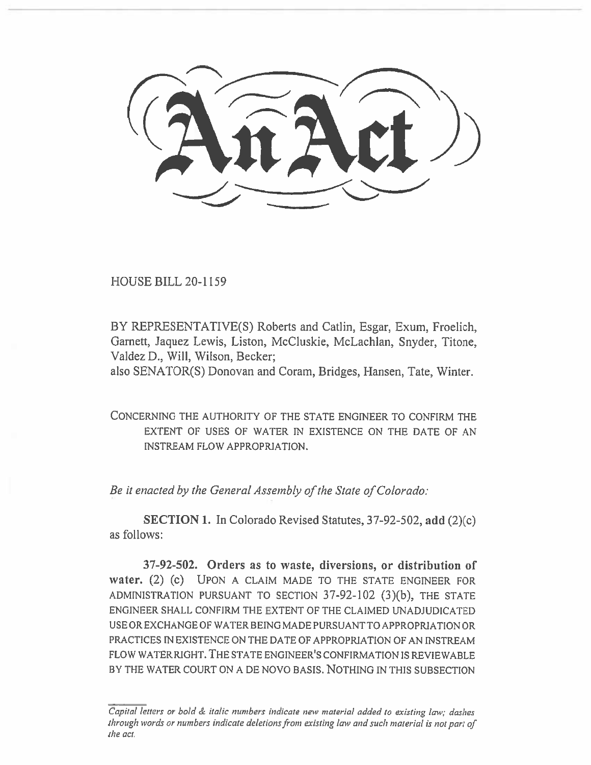HOUSE BILL 20-1159

BY REPRESENTATIVE(S) Roberts and Catlin, Esgar, Exum, Froelich, Garnett, Jaquez Lewis, Liston, McCluskie, McLachlan, Snyder, Titone, Valdez D., Will, Wilson, Becker;

also SENATOR(S) Donovan and Coram, Bridges, Hansen, Tate, Winter.

CONCERNING THE AUTHORITY OF THE STATE ENGINEER TO CONFIRM THE EXTENT OF USES OF WATER IN EXISTENCE ON THE DATE OF AN INSTREAM FLOW APPROPRIATION.

*Be it enacted by the General Assembly of the State of Colorado:* 

**SECTION 1.** In Colorado Revised Statutes, 37-92-502, **add** (2)(c) as follows:

**37-92-502. Orders as to waste, diversions, or distribution of water.** (2) (c) UPON A CLAIM MADE TO THE STATE ENGINEER FOR ADMINISTRATION PURSUANT TO SECTION 37-92-102 (3)(b), THE STATE ENGINEER SHALL CONFIRM THE EXTENT OF THE CLAIMED UNADJUDICATED USE OR EXCHANGE OF WATER BEING MADE PURSUANT TO APPROPRIATION OR PRACTICES IN EXISTENCE ON THE DATE OF APPROPRIATION OF AN INSTREAM FLOW WATER RIGHT. THE STATE ENGINEER'S CONFIRMATION IS REVIEWABLE BY THE WATER COURT ON A DE NOVO BASIS. NOTHING IN THIS SUBSECTION

*Capital letters or bold & italic numbers indicate new material added to existing law; dashes through words or numbers indicate deletions from existing law and such material is not part of the act.*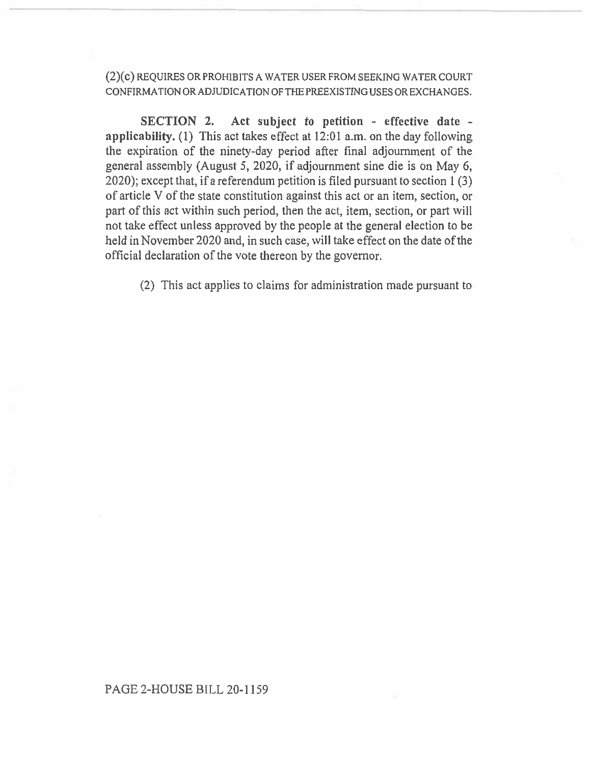(2)(c) REQUIRES OR PROHIBITS A WATER USER FROM SEEKING WATER COURT CONFIRMATION OR ADJUDICATION OF THE PREEXISTING USES OR EXCHANGES.

**SECTION 2. Act subject to petition - effective date applicability.** (1) This act takes effect at 12:01 a.m. on the day following the expiration of the ninety-day period after final adjournment of the general assembly (August 5, 2020, if adjournment sine die is on May 6, 2020); except that, if a referendum petition is filed pursuant to section 1(3) of article V of the state constitution against this act or an item, section, or part of this act within such period, then the act, item, section, or part will not take effect unless approved by the people at the general election to be held in November 2020 and, in such case, will take effect on the date of the official declaration of the vote thereon by the governor.

(2) This act applies to claims for administration made pursuant to